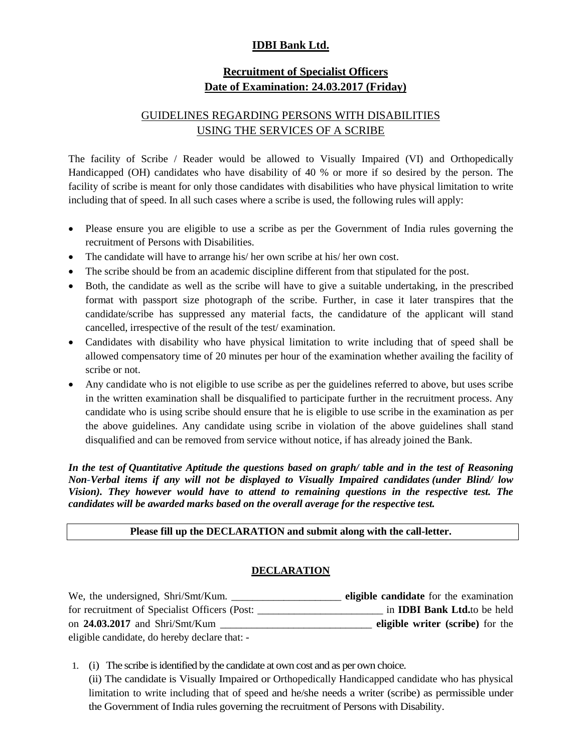## **IDBI Bank Ltd.**

### **Recruitment of Specialist Officers Date of Examination: 24.03.2017 (Friday)**

# GUIDELINES REGARDING PERSONS WITH DISABILITIES USING THE SERVICES OF A SCRIBE

The facility of Scribe / Reader would be allowed to Visually Impaired (VI) and Orthopedically Handicapped (OH) candidates who have disability of 40 % or more if so desired by the person. The facility of scribe is meant for only those candidates with disabilities who have physical limitation to write including that of speed. In all such cases where a scribe is used, the following rules will apply:

- Please ensure you are eligible to use a scribe as per the Government of India rules governing the recruitment of Persons with Disabilities.
- The candidate will have to arrange his/ her own scribe at his/ her own cost.
- The scribe should be from an academic discipline different from that stipulated for the post.
- Both, the candidate as well as the scribe will have to give a suitable undertaking, in the prescribed format with passport size photograph of the scribe. Further, in case it later transpires that the candidate/scribe has suppressed any material facts, the candidature of the applicant will stand cancelled, irrespective of the result of the test/ examination.
- Candidates with disability who have physical limitation to write including that of speed shall be allowed compensatory time of 20 minutes per hour of the examination whether availing the facility of scribe or not.
- Any candidate who is not eligible to use scribe as per the guidelines referred to above, but uses scribe in the written examination shall be disqualified to participate further in the recruitment process. Any candidate who is using scribe should ensure that he is eligible to use scribe in the examination as per the above guidelines. Any candidate using scribe in violation of the above guidelines shall stand disqualified and can be removed from service without notice, if has already joined the Bank.

*In the test of Quantitative Aptitude the questions based on graph/ table and in the test of Reasoning Non-Verbal items if any will not be displayed to Visually Impaired candidates (under Blind/ low Vision). They however would have to attend to remaining questions in the respective test. The candidates will be awarded marks based on the overall average for the respective test.* 

**Please fill up the DECLARATION and submit along with the call-letter.**

### **DECLARATION**

| We, the undersigned, Shri/Smt/Kum.            | eligible candidate for the examination |
|-----------------------------------------------|----------------------------------------|
| for recruitment of Specialist Officers (Post: | in <b>IDBI Bank Ltd.to</b> be held     |
| on $24.03.2017$ and Shri/Smt/Kum              | eligible writer (scribe) for the       |
| eligible candidate, do hereby declare that: - |                                        |

1. (i) The scribe is identified by the candidate at own cost and as per own choice. (ii) The candidate is Visually Impaired or Orthopedically Handicapped candidate who has physical limitation to write including that of speed and he/she needs a writer (scribe) as permissible under the Government of India rules governing the recruitment of Persons with Disability.